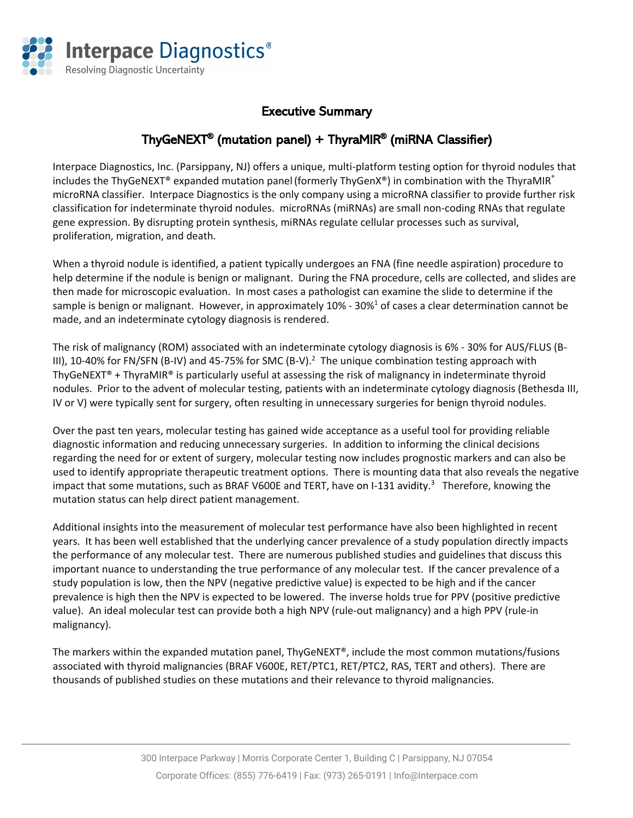

## Executive Summary

## ThyGeNEXT® (mutation panel) + ThyraMIR® (miRNA Classifier)

Interpace Diagnostics, Inc. (Parsippany, NJ) offers a unique, multi-platform testing option for thyroid nodules that includes the ThyGeNEXT® expanded mutation panel (formerly ThyGenX®) in combination with the ThyraMIR® microRNA classifier. Interpace Diagnostics is the only company using a microRNA classifier to provide further risk classification for indeterminate thyroid nodules. microRNAs (miRNAs) are small non-coding RNAs that regulate gene expression. By disrupting protein synthesis, miRNAs regulate cellular processes such as survival, proliferation, migration, and death.

When a thyroid nodule is identified, a patient typically undergoes an FNA (fine needle aspiration) procedure to help determine if the nodule is benign or malignant. During the FNA procedure, cells are collected, and slides are then made for microscopic evaluation. In most cases a pathologist can examine the slide to determine if the sample is benign or malignant. However, in approximately 10% - 30%<sup>1</sup> of cases a clear determination cannot be made, and an indeterminate cytology diagnosis is rendered.

The risk of malignancy (ROM) associated with an indeterminate cytology diagnosis is 6% - 30% for AUS/FLUS (B-III), 10-40% for FN/SFN (B-IV) and 45-75% for SMC (B-V).<sup>2</sup> The unique combination testing approach with ThyGeNEXT® + ThyraMIR® is particularly useful at assessing the risk of malignancy in indeterminate thyroid nodules. Prior to the advent of molecular testing, patients with an indeterminate cytology diagnosis (Bethesda III, IV or V) were typically sent for surgery, often resulting in unnecessary surgeries for benign thyroid nodules.

Over the past ten years, molecular testing has gained wide acceptance as a useful tool for providing reliable diagnostic information and reducing unnecessary surgeries. In addition to informing the clinical decisions regarding the need for or extent of surgery, molecular testing now includes prognostic markers and can also be used to identify appropriate therapeutic treatment options. There is mounting data that also reveals the negative impact that some mutations, such as BRAF V600E and TERT, have on I-131 avidity.<sup>3</sup> Therefore, knowing the mutation status can help direct patient management.

Additional insights into the measurement of molecular test performance have also been highlighted in recent years. It has been well established that the underlying cancer prevalence of a study population directly impacts the performance of any molecular test. There are numerous published studies and guidelines that discuss this important nuance to understanding the true performance of any molecular test. If the cancer prevalence of a study population is low, then the NPV (negative predictive value) is expected to be high and if the cancer prevalence is high then the NPV is expected to be lowered. The inverse holds true for PPV (positive predictive value). An ideal molecular test can provide both a high NPV (rule-out malignancy) and a high PPV (rule-in malignancy).

The markers within the expanded mutation panel, ThyGeNEXT®, include the most common mutations/fusions associated with thyroid malignancies (BRAF V600E, RET/PTC1, RET/PTC2, RAS, TERT and others). There are thousands of published studies on these mutations and their relevance to thyroid malignancies.